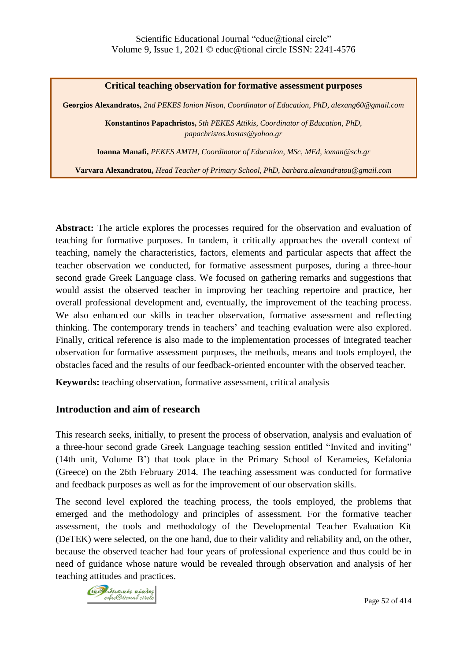#### **Critical teaching observation for formative assessment purposes**

**Georgios Alexandratos,** *2nd PEKES Ionion Nison, Coordinator of Education, PhD, alexang60@gmail.com*

**Konstantinos Papachristos,** *5th PEKES Attikis, Coordinator of Education, PhD, papachristos.kostas@yahoo.gr*

**Ioanna Manafi,** *PEKES AMTH, Coordinator of Education, MSc, MEd, ioman@sch.gr*

**Varvara Alexandratou,** *Head Teacher of Primary School, PhD, barbara.alexandratou@gmail.com*

**Abstract:** The article explores the processes required for the observation and evaluation of teaching for formative purposes. In tandem, it critically approaches the overall context of teaching, namely the characteristics, factors, elements and particular aspects that affect the teacher observation we conducted, for formative assessment purposes, during a three-hour second grade Greek Language class. We focused on gathering remarks and suggestions that would assist the observed teacher in improving her teaching repertoire and practice, her overall professional development and, eventually, the improvement of the teaching process. We also enhanced our skills in teacher observation, formative assessment and reflecting thinking. The contemporary trends in teachers' and teaching evaluation were also explored. Finally, critical reference is also made to the implementation processes of integrated teacher observation for formative assessment purposes, the methods, means and tools employed, the obstacles faced and the results of our feedback-oriented encounter with the observed teacher.

**Keywords:** teaching observation, formative assessment, critical analysis

#### **Introduction and aim of research**

This research seeks, initially, to present the process of observation, analysis and evaluation of a three-hour second grade Greek Language teaching session entitled "Invited and inviting" (14th unit, Volume B') that took place in the Primary School of Kerameies, Kefalonia (Greece) on the 26th February 2014. The teaching assessment was conducted for formative and feedback purposes as well as for the improvement of our observation skills.

The second level explored the teaching process, the tools employed, the problems that emerged and the methodology and principles of assessment. For the formative teacher assessment, the tools and methodology of the Developmental Teacher Evaluation Kit (DeTEK) were selected, on the one hand, due to their validity and reliability and, on the other, because the observed teacher had four years of professional experience and thus could be in need of guidance whose nature would be revealed through observation and analysis of her teaching attitudes and practices.

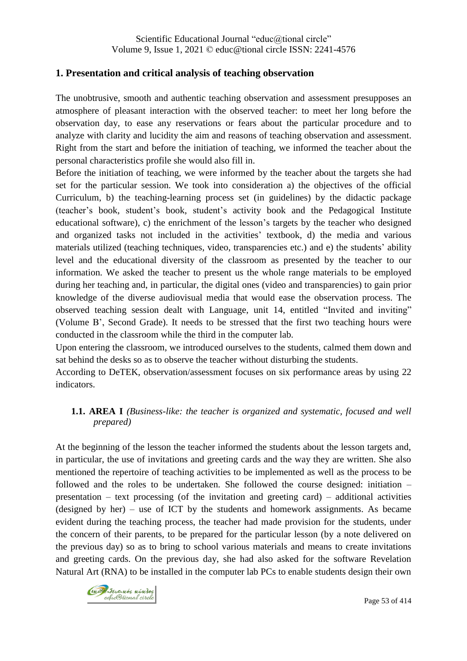# **1. Presentation and critical analysis of teaching observation**

The unobtrusive, smooth and authentic teaching observation and assessment presupposes an atmosphere of pleasant interaction with the observed teacher: to meet her long before the observation day, to ease any reservations or fears about the particular procedure and to analyze with clarity and lucidity the aim and reasons of teaching observation and assessment. Right from the start and before the initiation of teaching, we informed the teacher about the personal characteristics profile she would also fill in.

Before the initiation of teaching, we were informed by the teacher about the targets she had set for the particular session. We took into consideration a) the objectives of the official Curriculum, b) the teaching-learning process set (in guidelines) by the didactic package (teacher's book, student's book, student's activity book and the Pedagogical Institute educational software), c) the enrichment of the lesson's targets by the teacher who designed and organized tasks not included in the activities' textbook, d) the media and various materials utilized (teaching techniques, video, transparencies etc.) and e) the students' ability level and the educational diversity of the classroom as presented by the teacher to our information. We asked the teacher to present us the whole range materials to be employed during her teaching and, in particular, the digital ones (video and transparencies) to gain prior knowledge of the diverse audiovisual media that would ease the observation process. The observed teaching session dealt with Language, unit 14, entitled "Invited and inviting" (Volume B', Second Grade). It needs to be stressed that the first two teaching hours were conducted in the classroom while the third in the computer lab.

Upon entering the classroom, we introduced ourselves to the students, calmed them down and sat behind the desks so as to observe the teacher without disturbing the students.

According to DeTEK, observation/assessment focuses on six performance areas by using 22 indicators.

# **1.1. AREA I** *(Business-like: the teacher is organized and systematic, focused and well prepared)*

At the beginning of the lesson the teacher informed the students about the lesson targets and, in particular, the use of invitations and greeting cards and the way they are written. She also mentioned the repertoire of teaching activities to be implemented as well as the process to be followed and the roles to be undertaken. She followed the course designed: initiation – presentation – text processing (of the invitation and greeting card) – additional activities (designed by her) – use of ICT by the students and homework assignments. As became evident during the teaching process, the teacher had made provision for the students, under the concern of their parents, to be prepared for the particular lesson (by a note delivered on the previous day) so as to bring to school various materials and means to create invitations and greeting cards. On the previous day, she had also asked for the software Revelation Natural Art (RNA) to be installed in the computer lab PCs to enable students design their own

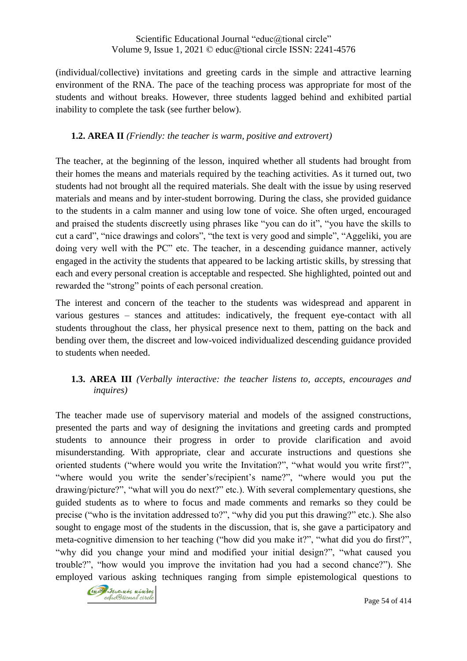(individual/collective) invitations and greeting cards in the simple and attractive learning environment of the RNA. The pace of the teaching process was appropriate for most of the students and without breaks. However, three students lagged behind and exhibited partial inability to complete the task (see further below).

### **1.2. AREA II** *(Friendly: the teacher is warm, positive and extrovert)*

The teacher, at the beginning of the lesson, inquired whether all students had brought from their homes the means and materials required by the teaching activities. As it turned out, two students had not brought all the required materials. She dealt with the issue by using reserved materials and means and by inter-student borrowing. During the class, she provided guidance to the students in a calm manner and using low tone of voice. She often urged, encouraged and praised the students discreetly using phrases like "you can do it", "you have the skills to cut a card", "nice drawings and colors", "the text is very good and simple", "Aggeliki, you are doing very well with the PC" etc. The teacher, in a descending guidance manner, actively engaged in the activity the students that appeared to be lacking artistic skills, by stressing that each and every personal creation is acceptable and respected. She highlighted, pointed out and rewarded the "strong" points of each personal creation.

The interest and concern of the teacher to the students was widespread and apparent in various gestures – stances and attitudes: indicatively, the frequent eye-contact with all students throughout the class, her physical presence next to them, patting on the back and bending over them, the discreet and low-voiced individualized descending guidance provided to students when needed.

# **1.3. AREA III** *(Verbally interactive: the teacher listens to, accepts, encourages and inquires)*

The teacher made use of supervisory material and models of the assigned constructions, presented the parts and way of designing the invitations and greeting cards and prompted students to announce their progress in order to provide clarification and avoid misunderstanding. With appropriate, clear and accurate instructions and questions she oriented students ("where would you write the Invitation?", "what would you write first?", "where would you write the sender's/recipient's name?", "where would you put the drawing/picture?", "what will you do next?" etc.). With several complementary questions, she guided students as to where to focus and made comments and remarks so they could be precise ("who is the invitation addressed to?", "why did you put this drawing?" etc.). She also sought to engage most of the students in the discussion, that is, she gave a participatory and meta-cognitive dimension to her teaching ("how did you make it?", "what did you do first?", "why did you change your mind and modified your initial design?", "what caused you trouble?", "how would you improve the invitation had you had a second chance?"). She employed various asking techniques ranging from simple epistemological questions to

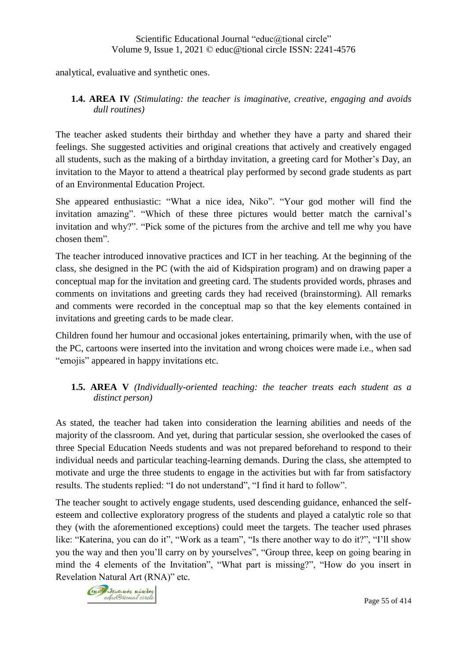analytical, evaluative and synthetic ones.

#### **1.4. AREA IV** *(Stimulating: the teacher is imaginative, creative, engaging and avoids dull routines)*

The teacher asked students their birthday and whether they have a party and shared their feelings. She suggested activities and original creations that actively and creatively engaged all students, such as the making of a birthday invitation, a greeting card for Mother's Day, an invitation to the Mayor to attend a theatrical play performed by second grade students as part of an Environmental Education Project.

She appeared enthusiastic: "What a nice idea, Niko". "Your god mother will find the invitation amazing". "Which of these three pictures would better match the carnival's invitation and why?". "Pick some of the pictures from the archive and tell me why you have chosen them".

The teacher introduced innovative practices and ICT in her teaching. At the beginning of the class, she designed in the PC (with the aid of Kidspiration program) and on drawing paper a conceptual map for the invitation and greeting card. The students provided words, phrases and comments on invitations and greeting cards they had received (brainstorming). All remarks and comments were recorded in the conceptual map so that the key elements contained in invitations and greeting cards to be made clear.

Children found her humour and occasional jokes entertaining, primarily when, with the use of the PC, cartoons were inserted into the invitation and wrong choices were made i.e., when sad "emojis" appeared in happy invitations etc.

# **1.5. AREA V** *(Individually-oriented teaching: the teacher treats each student as a distinct person)*

As stated, the teacher had taken into consideration the learning abilities and needs of the majority of the classroom. And yet, during that particular session, she overlooked the cases of three Special Education Needs students and was not prepared beforehand to respond to their individual needs and particular teaching-learning demands. During the class, she attempted to motivate and urge the three students to engage in the activities but with far from satisfactory results. The students replied: "I do not understand", "I find it hard to follow".

The teacher sought to actively engage students, used descending guidance, enhanced the selfesteem and collective exploratory progress of the students and played a catalytic role so that they (with the aforementioned exceptions) could meet the targets. The teacher used phrases like: "Katerina, you can do it", "Work as a team", "Is there another way to do it?", "I'll show you the way and then you'll carry on by yourselves", "Group three, keep on going bearing in mind the 4 elements of the Invitation", "What part is missing?", "How do you insert in Revelation Natural Art (RNA)" etc*.*

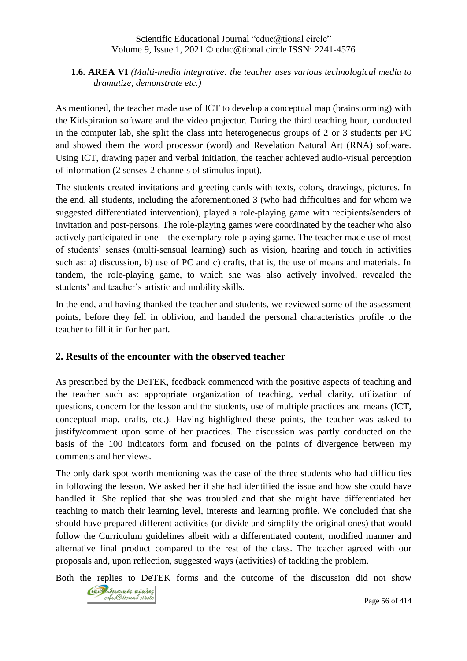#### **1.6. AREA VI** *(Multi-media integrative: the teacher uses various technological media to dramatize, demonstrate etc.)*

As mentioned, the teacher made use of ICT to develop a conceptual map (brainstorming) with the Kidspiration software and the video projector. During the third teaching hour, conducted in the computer lab, she split the class into heterogeneous groups of 2 or 3 students per PC and showed them the word processor (word) and Revelation Natural Art (RNA) software. Using ICT, drawing paper and verbal initiation, the teacher achieved audio-visual perception of information (2 senses-2 channels of stimulus input).

The students created invitations and greeting cards with texts, colors, drawings, pictures. In the end, all students, including the aforementioned 3 (who had difficulties and for whom we suggested differentiated intervention), played a role-playing game with recipients/senders of invitation and post-persons. The role-playing games were coordinated by the teacher who also actively participated in one – the exemplary role-playing game. The teacher made use of most of students' senses (multi-sensual learning) such as vision, hearing and touch in activities such as: a) discussion, b) use of PC and c) crafts, that is, the use of means and materials. In tandem, the role-playing game, to which she was also actively involved, revealed the students' and teacher's artistic and mobility skills.

In the end, and having thanked the teacher and students, we reviewed some of the assessment points, before they fell in oblivion, and handed the personal characteristics profile to the teacher to fill it in for her part*.*

#### **2. Results of the encounter with the observed teacher**

As prescribed by the DeTEK, feedback commenced with the positive aspects of teaching and the teacher such as: appropriate organization of teaching, verbal clarity, utilization of questions, concern for the lesson and the students, use of multiple practices and means (ICT, conceptual map, crafts, etc.). Having highlighted these points, the teacher was asked to justify/comment upon some of her practices. The discussion was partly conducted on the basis of the 100 indicators form and focused on the points of divergence between my comments and her views.

The only dark spot worth mentioning was the case of the three students who had difficulties in following the lesson. We asked her if she had identified the issue and how she could have handled it. She replied that she was troubled and that she might have differentiated her teaching to match their learning level, interests and learning profile. We concluded that she should have prepared different activities (or divide and simplify the original ones) that would follow the Curriculum guidelines albeit with a differentiated content, modified manner and alternative final product compared to the rest of the class. The teacher agreed with our proposals and, upon reflection, suggested ways (activities) of tackling the problem.

Both the replies to DeTEK forms and the outcome of the discussion did not show

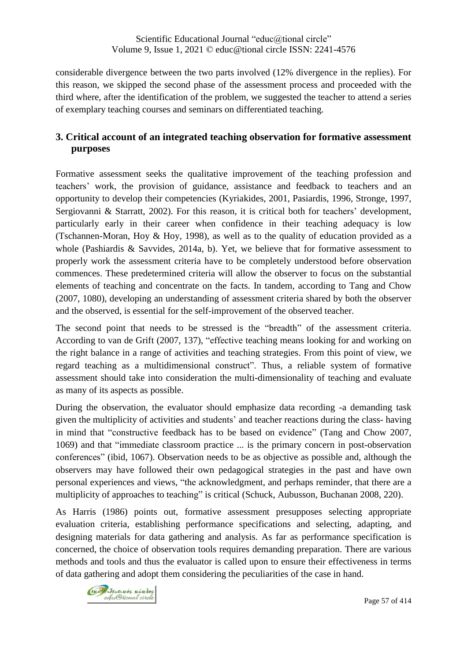considerable divergence between the two parts involved (12% divergence in the replies). For this reason, we skipped the second phase of the assessment process and proceeded with the third where, after the identification of the problem, we suggested the teacher to attend a series of exemplary teaching courses and seminars on differentiated teaching.

# **3. Critical account of an integrated teaching observation for formative assessment purposes**

Formative assessment seeks the qualitative improvement of the teaching profession and teachers' work, the provision of guidance, assistance and feedback to teachers and an opportunity to develop their competencies (Kyriakides, 2001, Pasiardis, 1996, Stronge, 1997, Sergiovanni & Starratt, 2002). For this reason, it is critical both for teachers' development, particularly early in their career when confidence in their teaching adequacy is low (Tschannen-Moran, Hoy & Hoy, 1998), as well as to the quality of education provided as a whole (Pashiardis & Savvides, 2014a, b). Yet, we believe that for formative assessment to properly work the assessment criteria have to be completely understood before observation commences. These predetermined criteria will allow the observer to focus on the substantial elements of teaching and concentrate on the facts. In tandem, according to Tang and Chow (2007, 1080), developing an understanding of assessment criteria shared by both the observer and the observed, is essential for the self-improvement of the observed teacher.

The second point that needs to be stressed is the "breadth" of the assessment criteria. According to van de Grift (2007, 137), "effective teaching means looking for and working on the right balance in a range of activities and teaching strategies. From this point of view, we regard teaching as a multidimensional construct". Thus, a reliable system of formative assessment should take into consideration the multi-dimensionality of teaching and evaluate as many of its aspects as possible.

During the observation, the evaluator should emphasize data recording -a demanding task given the multiplicity of activities and students' and teacher reactions during the class- having in mind that "constructive feedback has to be based on evidence" (Tang and Chow 2007, 1069) and that "immediate classroom practice ... is the primary concern in post-observation conferences" (ibid, 1067). Observation needs to be as objective as possible and, although the observers may have followed their own pedagogical strategies in the past and have own personal experiences and views, "the acknowledgment, and perhaps reminder, that there are a multiplicity of approaches to teaching" is critical (Schuck, Aubusson, Buchanan 2008, 220).

As Harris (1986) points out, formative assessment presupposes selecting appropriate evaluation criteria, establishing performance specifications and selecting, adapting, and designing materials for data gathering and analysis. As far as performance specification is concerned, the choice of observation tools requires demanding preparation. There are various methods and tools and thus the evaluator is called upon to ensure their effectiveness in terms of data gathering and adopt them considering the peculiarities of the case in hand.

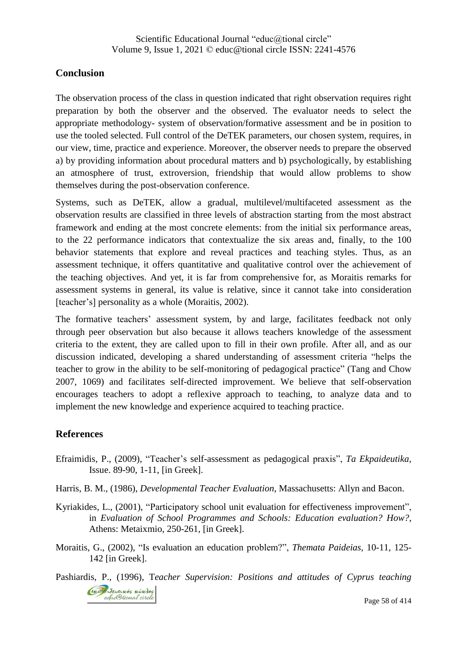## **Conclusion**

The observation process of the class in question indicated that right observation requires right preparation by both the observer and the observed. The evaluator needs to select the appropriate methodology- system of observation/formative assessment and be in position to use the tooled selected. Full control of the DeTEK parameters, our chosen system, requires, in our view, time, practice and experience. Moreover, the observer needs to prepare the observed a) by providing information about procedural matters and b) psychologically, by establishing an atmosphere of trust, extroversion, friendship that would allow problems to show themselves during the post-observation conference.

Systems, such as DeTEK, allow a gradual, multilevel/multifaceted assessment as the observation results are classified in three levels of abstraction starting from the most abstract framework and ending at the most concrete elements: from the initial six performance areas, to the 22 performance indicators that contextualize the six areas and, finally, to the 100 behavior statements that explore and reveal practices and teaching styles. Thus, as an assessment technique, it offers quantitative and qualitative control over the achievement of the teaching objectives. And yet, it is far from comprehensive for, as Moraitis remarks for assessment systems in general, its value is relative, since it cannot take into consideration [teacher's] personality as a whole (Moraitis, 2002).

The formative teachers' assessment system, by and large, facilitates feedback not only through peer observation but also because it allows teachers knowledge of the assessment criteria to the extent, they are called upon to fill in their own profile. After all, and as our discussion indicated, developing a shared understanding of assessment criteria "helps the teacher to grow in the ability to be self-monitoring of pedagogical practice" (Tang and Chow 2007, 1069) and facilitates self-directed improvement. We believe that self-observation encourages teachers to adopt a reflexive approach to teaching, to analyze data and to implement the new knowledge and experience acquired to teaching practice.

# **References**

- Efraimidis, P., (2009), "Teacher's self-assessment as pedagogical praxis", *Ta Ekpaideutika,* Issue. 89-90, 1-11, [in Greek].
- Harris, B. M., (1986), *Developmental Teacher Evaluation*, Massachusetts: Allyn and Bacon.
- Κyriakides, L., (2001), "Participatory school unit evaluation for effectiveness improvement", in *Evaluation of School Programmes and Schools: Education evaluation? How?,* Athens: Metaixmio, 250-261, [in Greek].
- Moraitis, G., (2002), "Is evaluation an education problem?", *Themata Paideias,* 10-11, 125- 142 [in Greek].

Pashiardis, P., (1996), T*eacher Supervision: Positions and attitudes of Cyprus teaching*Crop Severnos núnios